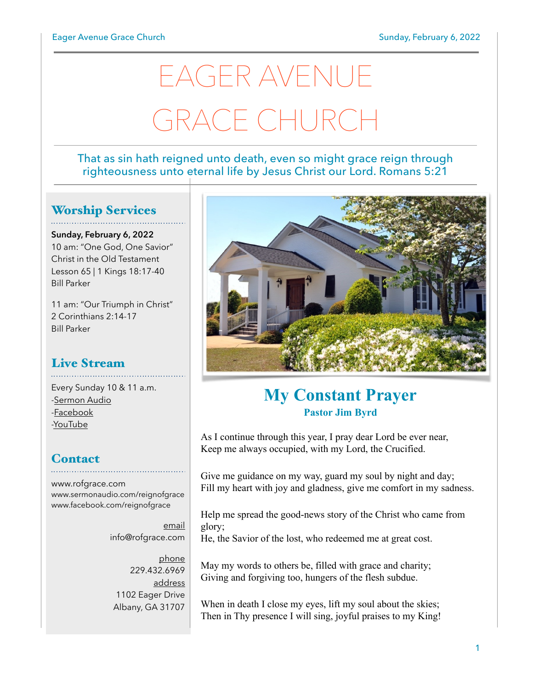# EAGER AVENUE GRACE CHURCH

#### That as sin hath reigned unto death, even so might grace reign through righteousness unto eternal life by Jesus Christ our Lord. Romans 5:21

#### Worship Services

**Sunday, February 6, 2022** 10 am: "One God, One Savior" Christ in the Old Testament Lesson 65 | 1 Kings 18:17-40 Bill Parker

11 am: "Our Triumph in Christ" 2 Corinthians 2:14-17 Bill Parker

#### Live Stream

Every Sunday 10 & 11 a.m. [-Sermon Audio](http://sermonaudio.com/reignofgrace) [-Facebook](http://facebook.com/eageravechurch) [-YouTube](http://youtube.com/channel/UCu_lTHCIUOK0cka9AjFV_5Q/live)

#### **Contact**

[www.rofgrace.com](http://www.rofgrace.com) [www.sermonaudio.com/reignofgrace](http://www.sermonaudio.com/reignofgrace) [www.facebook.com/reignofgrace](http://www.facebook.com/reignofgrace)

> email [info@rofgrace.com](mailto:info@rofgrace.com?subject=)

phone 229.432.6969 address 1102 Eager Drive Albany, GA 31707



## **My Constant Prayer Pastor Jim Byrd**

As I continue through this year, I pray dear Lord be ever near, Keep me always occupied, with my Lord, the Crucified.

Give me guidance on my way, guard my soul by night and day; Fill my heart with joy and gladness, give me comfort in my sadness.

Help me spread the good-news story of the Christ who came from glory;

He, the Savior of the lost, who redeemed me at great cost.

May my words to others be, filled with grace and charity; Giving and forgiving too, hungers of the flesh subdue.

When in death I close my eyes, lift my soul about the skies; Then in Thy presence I will sing, joyful praises to my King!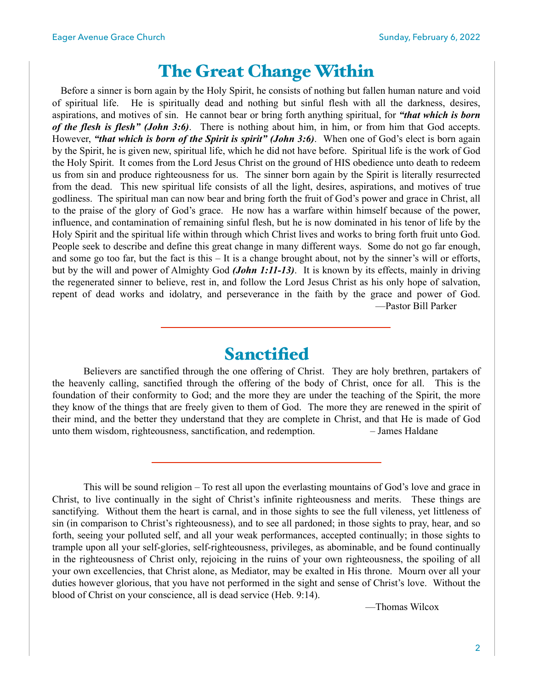### The Great Change Within

 Before a sinner is born again by the Holy Spirit, he consists of nothing but fallen human nature and void of spiritual life. He is spiritually dead and nothing but sinful flesh with all the darkness, desires, aspirations, and motives of sin. He cannot bear or bring forth anything spiritual, for *"that which is born of the flesh is flesh" (John 3:6)*. There is nothing about him, in him, or from him that God accepts. However, *"that which is born of the Spirit is spirit" (John 3:6)*. When one of God's elect is born again by the Spirit, he is given new, spiritual life, which he did not have before. Spiritual life is the work of God the Holy Spirit. It comes from the Lord Jesus Christ on the ground of HIS obedience unto death to redeem us from sin and produce righteousness for us. The sinner born again by the Spirit is literally resurrected from the dead. This new spiritual life consists of all the light, desires, aspirations, and motives of true godliness. The spiritual man can now bear and bring forth the fruit of God's power and grace in Christ, all to the praise of the glory of God's grace. He now has a warfare within himself because of the power, influence, and contamination of remaining sinful flesh, but he is now dominated in his tenor of life by the Holy Spirit and the spiritual life within through which Christ lives and works to bring forth fruit unto God. People seek to describe and define this great change in many different ways. Some do not go far enough, and some go too far, but the fact is this – It is a change brought about, not by the sinner's will or efforts, but by the will and power of Almighty God *(John 1:11-13)*. It is known by its effects, mainly in driving the regenerated sinner to believe, rest in, and follow the Lord Jesus Christ as his only hope of salvation, repent of dead works and idolatry, and perseverance in the faith by the grace and power of God. —Pastor Bill Parker

#### Sanctified

 Believers are sanctified through the one offering of Christ. They are holy brethren, partakers of the heavenly calling, sanctified through the offering of the body of Christ, once for all. This is the foundation of their conformity to God; and the more they are under the teaching of the Spirit, the more they know of the things that are freely given to them of God. The more they are renewed in the spirit of their mind, and the better they understand that they are complete in Christ, and that He is made of God unto them wisdom, righteousness, sanctification, and redemption. – James Haldane

This will be sound religion – To rest all upon the everlasting mountains of God's love and grace in Christ, to live continually in the sight of Christ's infinite righteousness and merits. These things are sanctifying. Without them the heart is carnal, and in those sights to see the full vileness, yet littleness of sin (in comparison to Christ's righteousness), and to see all pardoned; in those sights to pray, hear, and so forth, seeing your polluted self, and all your weak performances, accepted continually; in those sights to trample upon all your self-glories, self-righteousness, privileges, as abominable, and be found continually in the righteousness of Christ only, rejoicing in the ruins of your own righteousness, the spoiling of all your own excellencies, that Christ alone, as Mediator, may be exalted in His throne. Mourn over all your duties however glorious, that you have not performed in the sight and sense of Christ's love. Without the blood of Christ on your conscience, all is dead service (Heb. 9:14).

—Thomas Wilcox